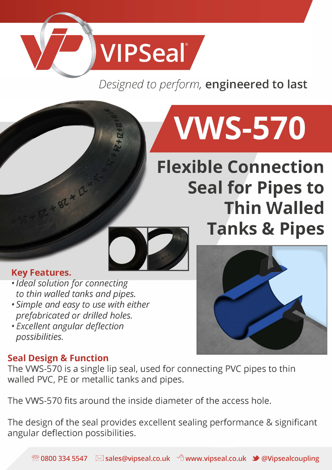## **VIPSeal**

## *Designed to perform,* **engineered to last**

# **VWS-570**

## **Flexible Connection Seal for Pipes to Thin Walled Tanks & Pipes**



## **Key Features.**

- 52 + 82 x 12

- *Ideal solution for connecting to thin walled tanks and pipes.*
- *Simple and easy to use with either prefabricated or drilled holes.*
- *Excellent angular deflection possibilities.*

## **Seal Design & Function**

The VWS-570 is a single lip seal, used for connecting PVC pipes to thin walled PVC, PE or metallic tanks and pipes.

The VWS-570 fits around the inside diameter of the access hole.

The design of the seal provides excellent sealing performance & significant angular deflection possibilities.